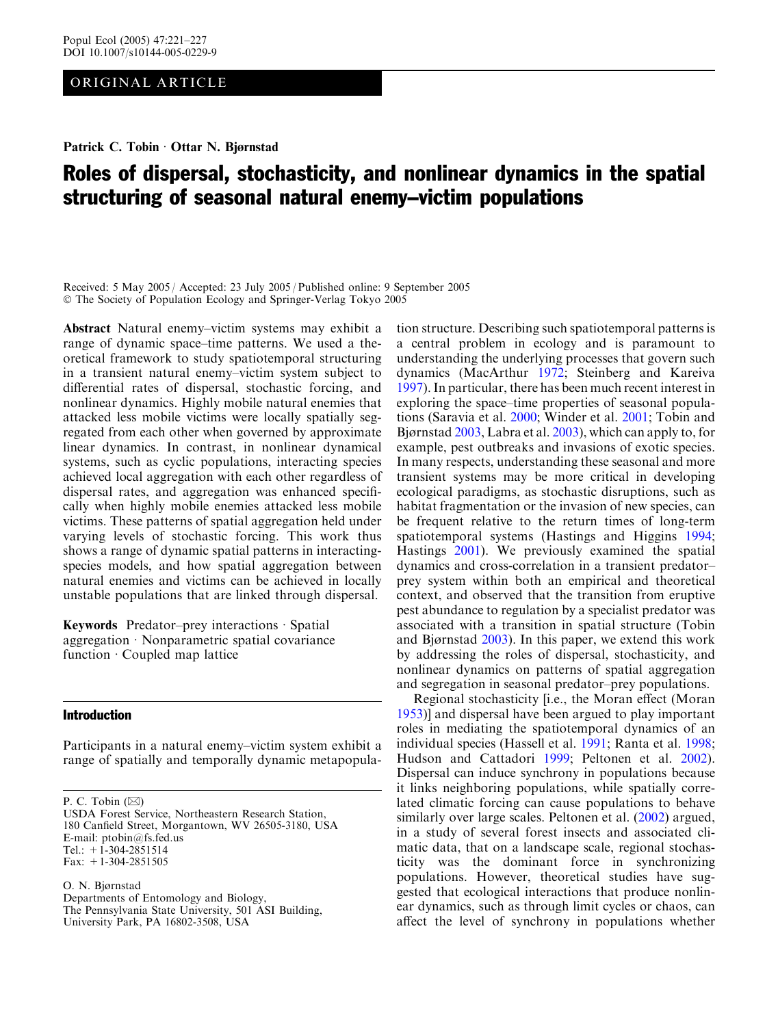# ORIGINAL ARTICLE

Patrick C. Tobin · Ottar N. Bjørnstad

# Roles of dispersal, stochasticity, and nonlinear dynamics in the spatial structuring of seasonal natural enemy–victim populations

Received: 5 May 2005 / Accepted: 23 July 2005 / Published online: 9 September 2005 The Society of Population Ecology and Springer-Verlag Tokyo 2005

Abstract Natural enemy–victim systems may exhibit a range of dynamic space–time patterns. We used a theoretical framework to study spatiotemporal structuring in a transient natural enemy–victim system subject to differential rates of dispersal, stochastic forcing, and nonlinear dynamics. Highly mobile natural enemies that attacked less mobile victims were locally spatially segregated from each other when governed by approximate linear dynamics. In contrast, in nonlinear dynamical systems, such as cyclic populations, interacting species achieved local aggregation with each other regardless of dispersal rates, and aggregation was enhanced specifically when highly mobile enemies attacked less mobile victims. These patterns of spatial aggregation held under varying levels of stochastic forcing. This work thus shows a range of dynamic spatial patterns in interactingspecies models, and how spatial aggregation between natural enemies and victims can be achieved in locally unstable populations that are linked through dispersal.

Keywords Predator–prey interactions  $\cdot$  Spatial aggregation  $\cdot$  Nonparametric spatial covariance function  $\cdot$  Coupled map lattice

## Introduction

Participants in a natural enemy–victim system exhibit a range of spatially and temporally dynamic metapopula-

P. C. Tobin  $(\boxtimes)$ 

USDA Forest Service, Northeastern Research Station, 180 Canfield Street, Morgantown, WV 26505-3180, USA E-mail: ptobin@fs.fed.us Tel.:  $+$  1-304-2851514 Fax: +1-304-2851505

O. N. Bjørnstad Departments of Entomology and Biology, The Pennsylvania State University, 501 ASI Building, University Park, PA 16802-3508, USA

tion structure. Describing such spatiotemporal patterns is a central problem in ecology and is paramount to understanding the underlying processes that govern such dynamics (MacArthur [1972;](#page-6-0) Steinberg and Kareiva [1997\)](#page-6-0). In particular, there has been much recent interest in exploring the space–time properties of seasonal populations (Saravia et al. [2000;](#page-6-0) Winder et al. [2001](#page-6-0); Tobin and Bjørnstad [2003,](#page-6-0) Labra et al. [2003\)](#page-6-0), which can apply to, for example, pest outbreaks and invasions of exotic species. In many respects, understanding these seasonal and more transient systems may be more critical in developing ecological paradigms, as stochastic disruptions, such as habitat fragmentation or the invasion of new species, can be frequent relative to the return times of long-term spatiotemporal systems (Hastings and Higgins [1994](#page-5-0); Hastings [2001\)](#page-5-0). We previously examined the spatial dynamics and cross-correlation in a transient predator– prey system within both an empirical and theoretical context, and observed that the transition from eruptive pest abundance to regulation by a specialist predator was associated with a transition in spatial structure (Tobin and Bjørnstad [2003\)](#page-6-0). In this paper, we extend this work by addressing the roles of dispersal, stochasticity, and nonlinear dynamics on patterns of spatial aggregation and segregation in seasonal predator–prey populations.

Regional stochasticity [i.e., the Moran effect (Moran [1953\)](#page-6-0)] and dispersal have been argued to play important roles in mediating the spatiotemporal dynamics of an individual species (Hassell et al. [1991](#page-5-0); Ranta et al. [1998](#page-6-0); Hudson and Cattadori [1999;](#page-5-0) Peltonen et al. [2002\)](#page-6-0). Dispersal can induce synchrony in populations because it links neighboring populations, while spatially correlated climatic forcing can cause populations to behave similarly over large scales. Peltonen et al. [\(2002](#page-6-0)) argued, in a study of several forest insects and associated climatic data, that on a landscape scale, regional stochasticity was the dominant force in synchronizing populations. However, theoretical studies have suggested that ecological interactions that produce nonlinear dynamics, such as through limit cycles or chaos, can affect the level of synchrony in populations whether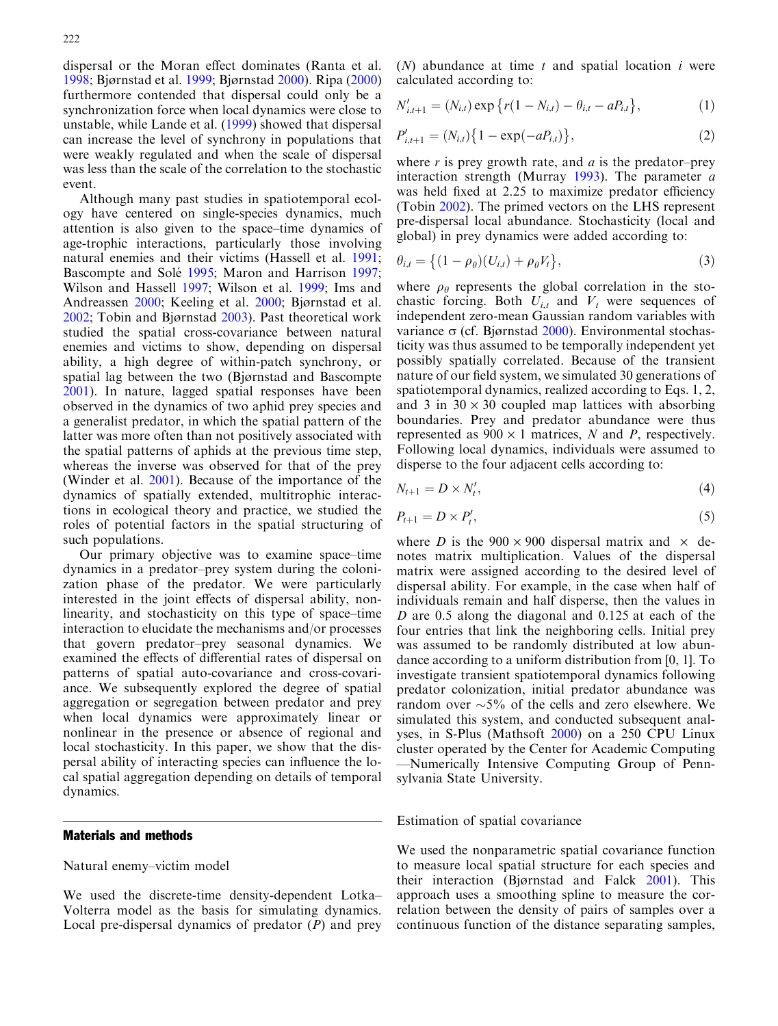dispersal or the Moran effect dominates (Ranta et al. [1998](#page-6-0); Bjørnstad et al. [1999](#page-5-0); Bjørnstad [2000\)](#page-5-0). Ripa [\(2000\)](#page-6-0) furthermore contended that dispersal could only be a synchronization force when local dynamics were close to unstable, while Lande et al. ([1999\)](#page-6-0) showed that dispersal can increase the level of synchrony in populations that were weakly regulated and when the scale of dispersal was less than the scale of the correlation to the stochastic event.

Although many past studies in spatiotemporal ecology have centered on single-species dynamics, much attention is also given to the space–time dynamics of age-trophic interactions, particularly those involving natural enemies and their victims (Hassell et al. [1991](#page-5-0); Bascompte and Solé [1995;](#page-5-0) Maron and Harrison [1997](#page-6-0); Wilson and Hassell [1997](#page-6-0); Wilson et al. [1999](#page-6-0); Ims and Andreassen [2000](#page-5-0); Keeling et al. [2000](#page-6-0); Bjørnstad et al. [2002](#page-5-0); Tobin and Bjørnstad [2003\)](#page-6-0). Past theoretical work studied the spatial cross-covariance between natural enemies and victims to show, depending on dispersal ability, a high degree of within-patch synchrony, or spatial lag between the two (Bjørnstad and Bascompte [2001](#page-5-0)). In nature, lagged spatial responses have been observed in the dynamics of two aphid prey species and a generalist predator, in which the spatial pattern of the latter was more often than not positively associated with the spatial patterns of aphids at the previous time step, whereas the inverse was observed for that of the prey (Winder et al. [2001](#page-6-0)). Because of the importance of the dynamics of spatially extended, multitrophic interactions in ecological theory and practice, we studied the roles of potential factors in the spatial structuring of such populations.

Our primary objective was to examine space–time dynamics in a predator–prey system during the colonization phase of the predator. We were particularly interested in the joint effects of dispersal ability, nonlinearity, and stochasticity on this type of space–time interaction to elucidate the mechanisms and/or processes that govern predator–prey seasonal dynamics. We examined the effects of differential rates of dispersal on patterns of spatial auto-covariance and cross-covariance. We subsequently explored the degree of spatial aggregation or segregation between predator and prey when local dynamics were approximately linear or nonlinear in the presence or absence of regional and local stochasticity. In this paper, we show that the dispersal ability of interacting species can influence the local spatial aggregation depending on details of temporal dynamics.

#### Materials and methods

#### Natural enemy–victim model

We used the discrete-time density-dependent Lotka– Volterra model as the basis for simulating dynamics. Local pre-dispersal dynamics of predator  $(P)$  and prey  $(N)$  abundance at time t and spatial location i were calculated according to:

$$
N'_{i,t+1} = (N_{i,t}) \exp \{r(1 - N_{i,t}) - \theta_{i,t} - aP_{i,t}\},\tag{1}
$$

$$
P'_{i,t+1} = (N_{i,t})\{1 - \exp(-aP_{i,t})\},\tag{2}
$$

where r is prey growth rate, and  $\alpha$  is the predator–prey interaction strength (Murray [1993\)](#page-6-0). The parameter a was held fixed at 2.25 to maximize predator efficiency (Tobin [2002](#page-6-0)). The primed vectors on the LHS represent pre-dispersal local abundance. Stochasticity (local and global) in prey dynamics were added according to:

$$
\theta_{i,t} = \{(1 - \rho_{\theta})(U_{i,t}) + \rho_{\theta} V_t\},\tag{3}
$$

where  $\rho_{\theta}$  represents the global correlation in the stochastic forcing. Both  $U_{i,t}$  and  $V_t$  were sequences of independent zero-mean Gaussian random variables with variance  $\sigma$  (cf. Bjørnstad [2000\)](#page-5-0). Environmental stochasticity was thus assumed to be temporally independent yet possibly spatially correlated. Because of the transient nature of our field system, we simulated 30 generations of spatiotemporal dynamics, realized according to Eqs. 1, 2, and 3 in  $30 \times 30$  coupled map lattices with absorbing boundaries. Prey and predator abundance were thus represented as  $900 \times 1$  matrices, N and P, respectively. Following local dynamics, individuals were assumed to disperse to the four adjacent cells according to:

$$
N_{t+1} = D \times N'_t,\tag{4}
$$

$$
P_{t+1} = D \times P'_t,\tag{5}
$$

where D is the  $900 \times 900$  dispersal matrix and  $\times$  denotes matrix multiplication. Values of the dispersal matrix were assigned according to the desired level of dispersal ability. For example, in the case when half of individuals remain and half disperse, then the values in D are 0.5 along the diagonal and 0.125 at each of the four entries that link the neighboring cells. Initial prey was assumed to be randomly distributed at low abundance according to a uniform distribution from [0, 1]. To investigate transient spatiotemporal dynamics following predator colonization, initial predator abundance was random over  $\sim 5\%$  of the cells and zero elsewhere. We simulated this system, and conducted subsequent analyses, in S-Plus (Mathsoft [2000\)](#page-6-0) on a 250 CPU Linux cluster operated by the Center for Academic Computing —Numerically Intensive Computing Group of Pennsylvania State University.

### Estimation of spatial covariance

We used the nonparametric spatial covariance function to measure local spatial structure for each species and their interaction (Bjørnstad and Falck [2001\)](#page-5-0). This approach uses a smoothing spline to measure the correlation between the density of pairs of samples over a continuous function of the distance separating samples,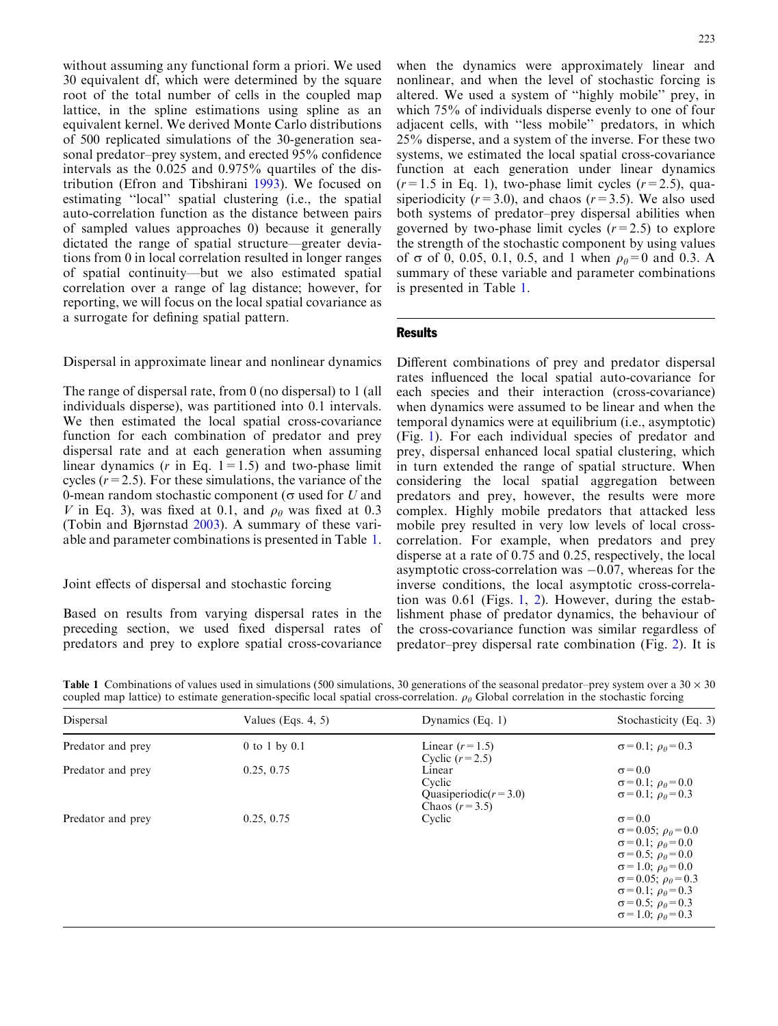without assuming any functional form a priori. We used 30 equivalent df, which were determined by the square root of the total number of cells in the coupled map lattice, in the spline estimations using spline as an equivalent kernel. We derived Monte Carlo distributions of 500 replicated simulations of the 30-generation seasonal predator–prey system, and erected 95% confidence intervals as the 0.025 and 0.975% quartiles of the distribution (Efron and Tibshirani [1993](#page-5-0)). We focused on estimating ''local'' spatial clustering (i.e., the spatial auto-correlation function as the distance between pairs of sampled values approaches 0) because it generally dictated the range of spatial structure—greater deviations from 0 in local correlation resulted in longer ranges of spatial continuity—but we also estimated spatial correlation over a range of lag distance; however, for reporting, we will focus on the local spatial covariance as a surrogate for defining spatial pattern.

when the dynamics were approximately linear and nonlinear, and when the level of stochastic forcing is altered. We used a system of ''highly mobile'' prey, in which 75% of individuals disperse evenly to one of four adjacent cells, with ''less mobile'' predators, in which 25% disperse, and a system of the inverse. For these two systems, we estimated the local spatial cross-covariance function at each generation under linear dynamics  $(r=1.5$  in Eq. 1), two-phase limit cycles  $(r=2.5)$ , quasiperiodicity ( $r=3.0$ ), and chaos ( $r=3.5$ ). We also used both systems of predator–prey dispersal abilities when governed by two-phase limit cycles  $(r=2.5)$  to explore the strength of the stochastic component by using values of  $\sigma$  of 0, 0.05, 0.1, 0.5, and 1 when  $\rho_{\theta}=0$  and 0.3. A summary of these variable and parameter combinations is presented in Table 1.

Different combinations of prey and predator dispersal

## **Results**

rates influenced the local spatial auto-covariance for each species and their interaction (cross-covariance) when dynamics were assumed to be linear and when the temporal dynamics were at equilibrium (i.e., asymptotic) (Fig. [1\). For each individual species of predator and](#page-3-0) [prey, dispersal enhanced local spatial clustering, which](#page-3-0) [in turn extended the range of spatial structure. When](#page-3-0) [considering the local spatial aggregation between](#page-3-0) [predators and prey, however, the results were more](#page-3-0) [complex. Highly mobile predators that attacked less](#page-3-0) [mobile prey resulted in very low levels of local cross](#page-3-0)[correlation. For example, when predators and prey](#page-3-0) [disperse at a rate of 0.75 and 0.25, respectively, the local](#page-3-0) [asymptotic cross-correlation was](#page-3-0)  $-0.07$ , whereas for the [inverse conditions, the local asymptotic cross-correla](#page-3-0)tion was  $0.61$  (Figs. 1, [2\). However, during the estab](#page-3-0)[lishment phase of predator dynamics, the behaviour of](#page-3-0) [the cross-covariance function was similar regardless of](#page-3-0) [predator–prey dispersal rate combination \(Fig.](#page-3-0) 2). It is

Dispersal in approximate linear and nonlinear dynamics

The range of dispersal rate, from 0 (no dispersal) to 1 (all individuals disperse), was partitioned into 0.1 intervals. We then estimated the local spatial cross-covariance function for each combination of predator and prey dispersal rate and at each generation when assuming linear dynamics ( $r$  in Eq. 1 = 1.5) and two-phase limit cycles  $(r=2.5)$ . For these simulations, the variance of the 0-mean random stochastic component ( $\sigma$  used for U and V in Eq. 3), was fixed at 0.1, and  $\rho_\theta$  was fixed at 0.3 (Tobin and Bjørnstad [2003](#page-6-0)). A summary of these variable and parameter combinations is presented in Table 1.

#### Joint effects of dispersal and stochastic forcing

Based on results from varying dispersal rates in the preceding section, we used fixed dispersal rates of predators and prey to explore spatial cross-covariance

Table 1 Combinations of values used in simulations (500 simulations, 30 generations of the seasonal predator–prey system over a  $30 \times 30$ coupled map lattice) to estimate generation-specific local spatial cross-correlation.  $\rho_\theta$  Global correlation in the stochastic forcing

| Dispersal         | Values (Eqs. $4, 5$ ) | Dynamics $(Eq. 1)$                                                | Stochasticity (Eq. 3)                                                                                                                                                                                                                                                                                                                                  |
|-------------------|-----------------------|-------------------------------------------------------------------|--------------------------------------------------------------------------------------------------------------------------------------------------------------------------------------------------------------------------------------------------------------------------------------------------------------------------------------------------------|
| Predator and prey | $0$ to 1 by $0.1$     | Linear $(r=1.5)$<br>Cyclic $(r=2.5)$                              | $\sigma = 0.1$ ; $\rho_{\theta} = 0.3$                                                                                                                                                                                                                                                                                                                 |
| Predator and prey | 0.25, 0.75            | Linear<br>Cyclic<br>Quasiperiodic( $r = 3.0$ )<br>Chaos $(r=3.5)$ | $\sigma = 0.0$<br>$\sigma = 0.1$ ; $\rho_{\theta} = 0.0$<br>$\sigma = 0.1$ ; $\rho_{\theta} = 0.3$                                                                                                                                                                                                                                                     |
| Predator and prey | 0.25, 0.75            | Cyclic                                                            | $\sigma = 0.0$<br>$\sigma$ = 0.05; $\rho_{\theta}$ = 0.0<br>$\sigma = 0.1$ ; $\rho_{\theta} = 0.0$<br>$\sigma = 0.5; \ \rho_{\theta} = 0.0$<br>$\sigma$ = 1.0; $\rho_{\theta}$ = 0.0<br>$\sigma$ =0.05; $\rho_{\theta}$ =0.3<br>$\sigma = 0.1$ ; $\rho_{\theta} = 0.3$<br>$\sigma = 0.5; \rho_{\theta} = 0.3$<br>$\sigma$ = 1.0; $\rho_{\theta}$ = 0.3 |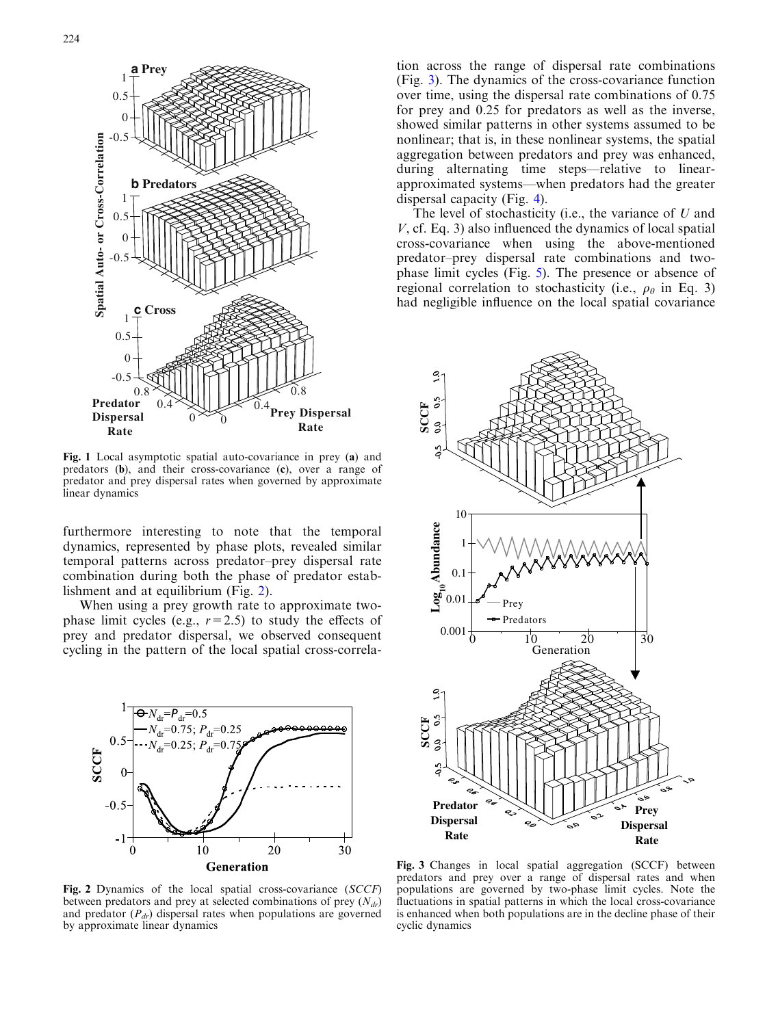<span id="page-3-0"></span>

Fig. 1 Local asymptotic spatial auto-covariance in prey (a) and predators (b), and their cross-covariance (c), over a range of predator and prey dispersal rates when governed by approximate linear dynamics

furthermore interesting to note that the temporal dynamics, represented by phase plots, revealed similar temporal patterns across predator–prey dispersal rate combination during both the phase of predator establishment and at equilibrium (Fig. 2).

When using a prey growth rate to approximate twophase limit cycles (e.g.,  $r=2.5$ ) to study the effects of prey and predator dispersal, we observed consequent cycling in the pattern of the local spatial cross-correla-



Fig. 2 Dynamics of the local spatial cross-covariance (SCCF) between predators and prey at selected combinations of prey  $(N_{dr})$ and predator  $(P_{dr})$  dispersal rates when populations are governed by approximate linear dynamics

tion across the range of dispersal rate combinations (Fig. 3). The dynamics of the cross-covariance function over time, using the dispersal rate combinations of 0.75 for prey and 0.25 for predators as well as the inverse, showed similar patterns in other systems assumed to be nonlinear; that is, in these nonlinear systems, the spatial aggregation between predators and prey was enhanced, during alternating time steps—relative to linearapproximated systems—when predators had the greater [dispersal capacity \(Fig.](#page-4-0) 4).

The level of stochasticity (i.e., the variance of  $U$  and V, cf. Eq. 3) also influenced the dynamics of local spatial cross-covariance when using the above-mentioned predator–prey dispersal rate combinations and twophase limit cycles (Fig. [5\). The presence or absence of](#page-4-0) [regional correlation to stochasticity \(i.e.,](#page-4-0)  $\rho_{\theta}$  [in Eq. 3\)](#page-4-0) [had negligible influence on the local spatial covariance](#page-4-0)



Fig. 3 Changes in local spatial aggregation (SCCF) between predators and prey over a range of dispersal rates and when populations are governed by two-phase limit cycles. Note the fluctuations in spatial patterns in which the local cross-covariance is enhanced when both populations are in the decline phase of their cyclic dynamics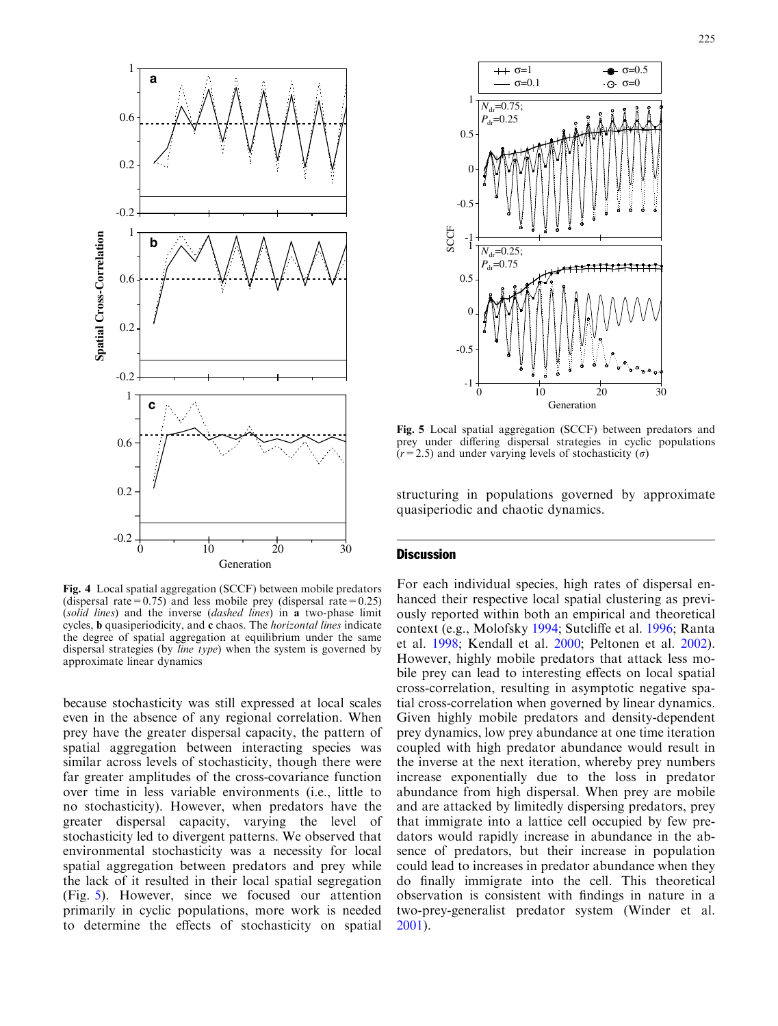<span id="page-4-0"></span>

Fig. 4 Local spatial aggregation (SCCF) between mobile predators (dispersal rate=0.75) and less mobile prey (dispersal rate=0.25) (solid lines) and the inverse (dashed lines) in a two-phase limit cycles, b quasiperiodicity, and c chaos. The horizontal lines indicate the degree of spatial aggregation at equilibrium under the same dispersal strategies (by line type) when the system is governed by approximate linear dynamics

because stochasticity was still expressed at local scales even in the absence of any regional correlation. When prey have the greater dispersal capacity, the pattern of spatial aggregation between interacting species was similar across levels of stochasticity, though there were far greater amplitudes of the cross-covariance function over time in less variable environments (i.e., little to no stochasticity). However, when predators have the greater dispersal capacity, varying the level of stochasticity led to divergent patterns. We observed that environmental stochasticity was a necessity for local spatial aggregation between predators and prey while the lack of it resulted in their local spatial segregation (Fig. 5). However, since we focused our attention primarily in cyclic populations, more work is needed to determine the effects of stochasticity on spatial



Fig. 5 Local spatial aggregation (SCCF) between predators and prey under differing dispersal strategies in cyclic populations  $(r=2.5)$  and under varying levels of stochasticity ( $\sigma$ )

structuring in populations governed by approximate quasiperiodic and chaotic dynamics.

# **Discussion**

For each individual species, high rates of dispersal enhanced their respective local spatial clustering as previously reported within both an empirical and theoretical context (e.g., Molofsky [1994;](#page-6-0) Sutcliffe et al. [1996;](#page-6-0) Ranta et al. [1998;](#page-6-0) Kendall et al. [2000](#page-6-0); Peltonen et al. [2002\)](#page-6-0). However, highly mobile predators that attack less mobile prey can lead to interesting effects on local spatial cross-correlation, resulting in asymptotic negative spatial cross-correlation when governed by linear dynamics. Given highly mobile predators and density-dependent prey dynamics, low prey abundance at one time iteration coupled with high predator abundance would result in the inverse at the next iteration, whereby prey numbers increase exponentially due to the loss in predator abundance from high dispersal. When prey are mobile and are attacked by limitedly dispersing predators, prey that immigrate into a lattice cell occupied by few predators would rapidly increase in abundance in the absence of predators, but their increase in population could lead to increases in predator abundance when they do finally immigrate into the cell. This theoretical observation is consistent with findings in nature in a two-prey-generalist predator system (Winder et al. [2001\)](#page-6-0).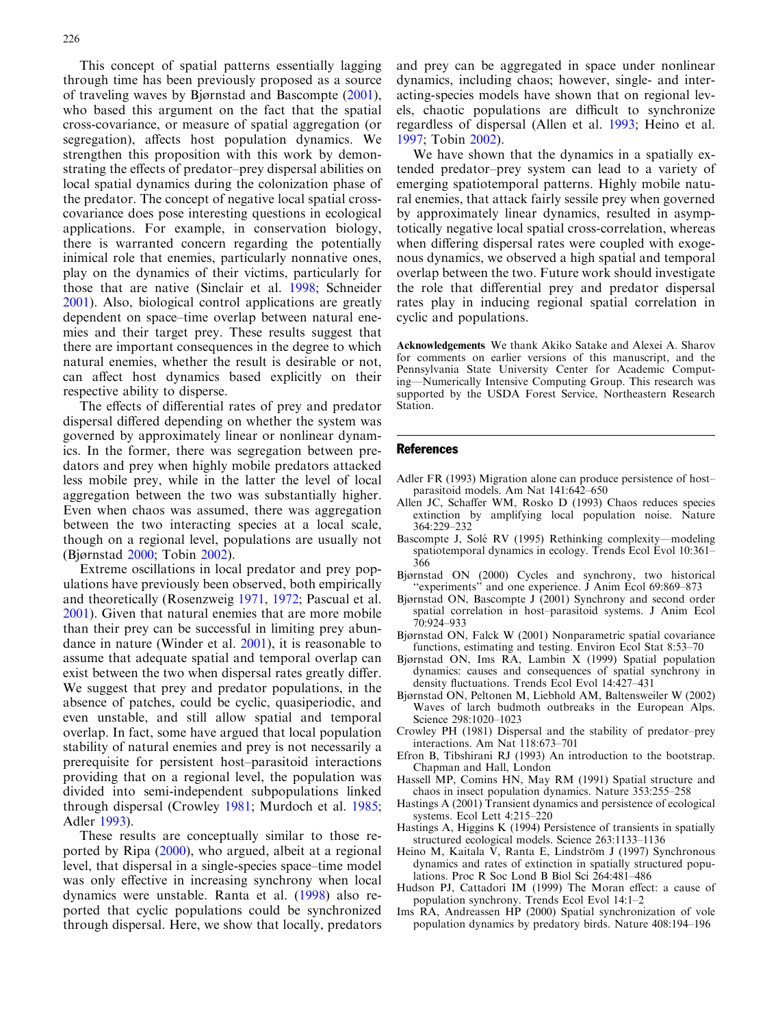<span id="page-5-0"></span>This concept of spatial patterns essentially lagging through time has been previously proposed as a source of traveling waves by Bjørnstad and Bascompte (2001), who based this argument on the fact that the spatial cross-covariance, or measure of spatial aggregation (or segregation), affects host population dynamics. We strengthen this proposition with this work by demonstrating the effects of predator–prey dispersal abilities on local spatial dynamics during the colonization phase of the predator. The concept of negative local spatial crosscovariance does pose interesting questions in ecological applications. For example, in conservation biology, there is warranted concern regarding the potentially inimical role that enemies, particularly nonnative ones, play on the dynamics of their victims, particularly for those that are native (Sinclair et al. [1998](#page-6-0); Schneider [2001](#page-6-0)). Also, biological control applications are greatly dependent on space–time overlap between natural enemies and their target prey. These results suggest that there are important consequences in the degree to which natural enemies, whether the result is desirable or not, can affect host dynamics based explicitly on their respective ability to disperse.

The effects of differential rates of prey and predator dispersal differed depending on whether the system was governed by approximately linear or nonlinear dynamics. In the former, there was segregation between predators and prey when highly mobile predators attacked less mobile prey, while in the latter the level of local aggregation between the two was substantially higher. Even when chaos was assumed, there was aggregation between the two interacting species at a local scale, though on a regional level, populations are usually not (Bjørnstad 2000; Tobin [2002\)](#page-6-0).

Extreme oscillations in local predator and prey populations have previously been observed, both empirically and theoretically (Rosenzweig [1971](#page-6-0), [1972;](#page-6-0) Pascual et al. [2001](#page-6-0)). Given that natural enemies that are more mobile than their prey can be successful in limiting prey abundance in nature (Winder et al. [2001](#page-6-0)), it is reasonable to assume that adequate spatial and temporal overlap can exist between the two when dispersal rates greatly differ. We suggest that prey and predator populations, in the absence of patches, could be cyclic, quasiperiodic, and even unstable, and still allow spatial and temporal overlap. In fact, some have argued that local population stability of natural enemies and prey is not necessarily a prerequisite for persistent host–parasitoid interactions providing that on a regional level, the population was divided into semi-independent subpopulations linked through dispersal (Crowley 1981; Murdoch et al. [1985](#page-6-0); Adler 1993).

These results are conceptually similar to those reported by Ripa ([2000](#page-6-0)), who argued, albeit at a regional level, that dispersal in a single-species space–time model was only effective in increasing synchrony when local dynamics were unstable. Ranta et al. ([1998\)](#page-6-0) also reported that cyclic populations could be synchronized through dispersal. Here, we show that locally, predators and prey can be aggregated in space under nonlinear dynamics, including chaos; however, single- and interacting-species models have shown that on regional levels, chaotic populations are difficult to synchronize regardless of dispersal (Allen et al. 1993; Heino et al. 1997; Tobin [2002\)](#page-6-0).

We have shown that the dynamics in a spatially extended predator–prey system can lead to a variety of emerging spatiotemporal patterns. Highly mobile natural enemies, that attack fairly sessile prey when governed by approximately linear dynamics, resulted in asymptotically negative local spatial cross-correlation, whereas when differing dispersal rates were coupled with exogenous dynamics, we observed a high spatial and temporal overlap between the two. Future work should investigate the role that differential prey and predator dispersal rates play in inducing regional spatial correlation in cyclic and populations.

Acknowledgements We thank Akiko Satake and Alexei A. Sharov for comments on earlier versions of this manuscript, and the Pennsylvania State University Center for Academic Computing—Numerically Intensive Computing Group. This research was supported by the USDA Forest Service, Northeastern Research Station.

### References

- Adler FR (1993) Migration alone can produce persistence of host– parasitoid models. Am Nat 141:642–650
- Allen JC, Schaffer WM, Rosko D (1993) Chaos reduces species extinction by amplifying local population noise. Nature 364:229–232
- Bascompte J, Solé RV (1995) Rethinking complexity—modeling spatiotemporal dynamics in ecology. Trends Ecol Evol 10:361– 366
- Bjørnstad ON (2000) Cycles and synchrony, two historical ''experiments'' and one experience. J Anim Ecol 69:869–873
- Bjørnstad ON, Bascompte J (2001) Synchrony and second order spatial correlation in host–parasitoid systems. J Anim Ecol 70:924–933
- Bjørnstad ON, Falck W (2001) Nonparametric spatial covariance functions, estimating and testing. Environ Ecol Stat 8:53–70
- Bjørnstad ON, Ims RA, Lambin X (1999) Spatial population dynamics: causes and consequences of spatial synchrony in density fluctuations. Trends Ecol Evol 14:427–431
- Bjørnstad ON, Peltonen M, Liebhold AM, Baltensweiler W (2002) Waves of larch budmoth outbreaks in the European Alps. Science 298:1020–1023
- Crowley PH (1981) Dispersal and the stability of predator–prey interactions. Am Nat 118:673–701
- Efron B, Tibshirani RJ (1993) An introduction to the bootstrap. Chapman and Hall, London
- Hassell MP, Comins HN, May RM (1991) Spatial structure and chaos in insect population dynamics. Nature 353:255–258
- Hastings A (2001) Transient dynamics and persistence of ecological systems. Ecol Lett 4:215–220
- Hastings A, Higgins K (1994) Persistence of transients in spatially structured ecological models. Science 263:1133–1136
- Heino M, Kaitala  $\bar{V}$ , Ranta E, Lindström J (1997) Synchronous dynamics and rates of extinction in spatially structured populations. Proc R Soc Lond B Biol Sci 264:481–486
- Hudson PJ, Cattadori IM (1999) The Moran effect: a cause of population synchrony. Trends Ecol Evol 14:1–2
- Ims RA, Andreassen HP (2000) Spatial synchronization of vole population dynamics by predatory birds. Nature 408:194–196